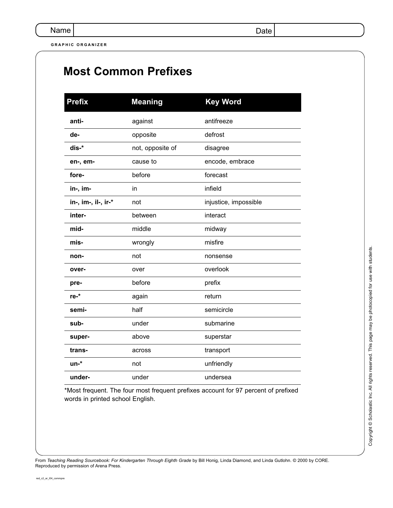**GRAPHIC ORGANIZER**

| PHIC ORGANIZER      |                             |                       |  |  |
|---------------------|-----------------------------|-----------------------|--|--|
|                     | <b>Most Common Prefixes</b> |                       |  |  |
|                     |                             |                       |  |  |
| <b>Prefix</b>       | <b>Meaning</b>              | <b>Key Word</b>       |  |  |
| anti-               | against                     | antifreeze            |  |  |
| de-                 | opposite                    | defrost               |  |  |
| dis-*               | not, opposite of            | disagree              |  |  |
| en-, em-            | cause to                    | encode, embrace       |  |  |
| fore-               | before                      | forecast              |  |  |
| in-, im-            | in                          | infield               |  |  |
| in-, im-, il-, ir-* | not                         | injustice, impossible |  |  |
| inter-              | between                     | interact              |  |  |
| mid-                | middle                      | midway                |  |  |
| mis-                | wrongly                     | misfire               |  |  |
| non-                | not                         | nonsense              |  |  |
| over-               | over                        | overlook              |  |  |
| pre-                | before                      | prefix                |  |  |
| re-*                | again                       | return                |  |  |
| semi-               | half                        | semicircle            |  |  |
| sub-                | under                       | submarine             |  |  |
| super-              | above                       | superstar             |  |  |
| trans-              | across                      | transport             |  |  |
| un-*                | not                         | unfriendly            |  |  |

\*Most frequent. The four most frequent prefixes account for 97 percent of prefixed words in printed school English.

**under-** under under undersea

From *Teaching Reading Sourcebook: For Kindergarten Through Eighth Grade* by Bill Honig, Linda Diamond, and Linda Gutlohn. © 2000 by CORE. Reproduced by permission of Arena Press.